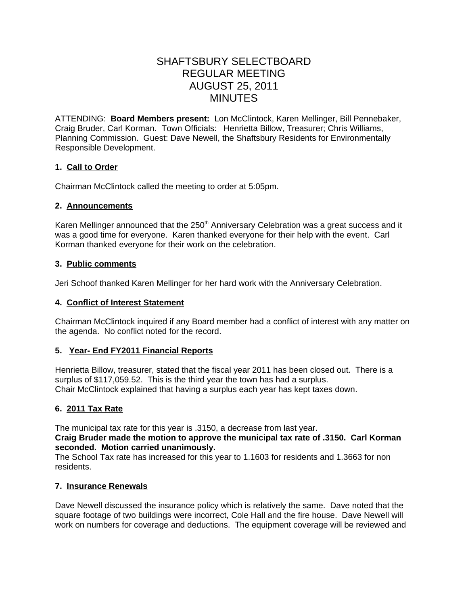# SHAFTSBURY SELECTBOARD REGULAR MEETING AUGUST 25, 2011 MINUTES

ATTENDING: **Board Members present:** Lon McClintock, Karen Mellinger, Bill Pennebaker, Craig Bruder, Carl Korman. Town Officials: Henrietta Billow, Treasurer; Chris Williams, Planning Commission. Guest: Dave Newell, the Shaftsbury Residents for Environmentally Responsible Development.

### **1. Call to Order**

Chairman McClintock called the meeting to order at 5:05pm.

# **2. Announcements**

Karen Mellinger announced that the  $250<sup>th</sup>$  Anniversary Celebration was a great success and it was a good time for everyone. Karen thanked everyone for their help with the event. Carl Korman thanked everyone for their work on the celebration.

### **3. Public comments**

Jeri Schoof thanked Karen Mellinger for her hard work with the Anniversary Celebration.

## **4. Conflict of Interest Statement**

Chairman McClintock inquired if any Board member had a conflict of interest with any matter on the agenda. No conflict noted for the record.

## **5. Year- End FY2011 Financial Reports**

Henrietta Billow, treasurer, stated that the fiscal year 2011 has been closed out. There is a surplus of \$117,059.52. This is the third year the town has had a surplus. Chair McClintock explained that having a surplus each year has kept taxes down.

### **6. 2011 Tax Rate**

The municipal tax rate for this year is .3150, a decrease from last year.

### **Craig Bruder made the motion to approve the municipal tax rate of .3150. Carl Korman seconded. Motion carried unanimously.**

The School Tax rate has increased for this year to 1.1603 for residents and 1.3663 for non residents.

### **7. Insurance Renewals**

Dave Newell discussed the insurance policy which is relatively the same. Dave noted that the square footage of two buildings were incorrect, Cole Hall and the fire house. Dave Newell will work on numbers for coverage and deductions. The equipment coverage will be reviewed and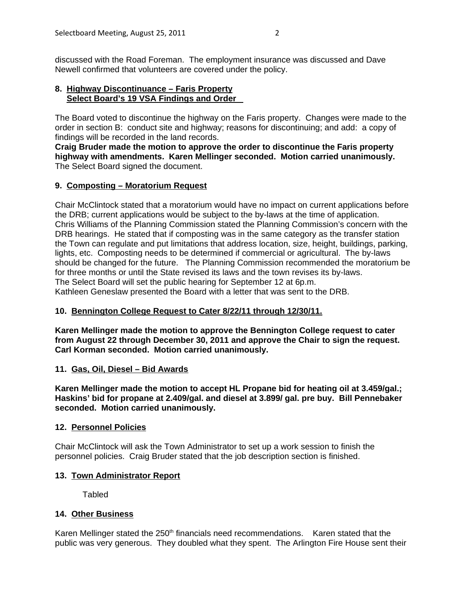discussed with the Road Foreman. The employment insurance was discussed and Dave Newell confirmed that volunteers are covered under the policy.

#### **8. Highway Discontinuance – Faris Property Select Board's 19 VSA Findings and Order**

The Board voted to discontinue the highway on the Faris property. Changes were made to the order in section B: conduct site and highway; reasons for discontinuing; and add: a copy of findings will be recorded in the land records.

**Craig Bruder made the motion to approve the order to discontinue the Faris property highway with amendments. Karen Mellinger seconded. Motion carried unanimously.** The Select Board signed the document.

# **9. Composting – Moratorium Request**

Chair McClintock stated that a moratorium would have no impact on current applications before the DRB; current applications would be subject to the by-laws at the time of application. Chris Williams of the Planning Commission stated the Planning Commission's concern with the DRB hearings. He stated that if composting was in the same category as the transfer station the Town can regulate and put limitations that address location, size, height, buildings, parking, lights, etc. Composting needs to be determined if commercial or agricultural. The by-laws should be changed for the future. The Planning Commission recommended the moratorium be for three months or until the State revised its laws and the town revises its by-laws. The Select Board will set the public hearing for September 12 at 6p.m. Kathleen Geneslaw presented the Board with a letter that was sent to the DRB.

### **10. Bennington College Request to Cater 8/22/11 through 12/30/11.**

**Karen Mellinger made the motion to approve the Bennington College request to cater from August 22 through December 30, 2011 and approve the Chair to sign the request. Carl Korman seconded. Motion carried unanimously.**

### **11. Gas, Oil, Diesel – Bid Awards**

**Karen Mellinger made the motion to accept HL Propane bid for heating oil at 3.459/gal.; Haskins' bid for propane at 2.409/gal. and diesel at 3.899/ gal. pre buy. Bill Pennebaker seconded. Motion carried unanimously.**

### **12. Personnel Policies**

Chair McClintock will ask the Town Administrator to set up a work session to finish the personnel policies. Craig Bruder stated that the job description section is finished.

### **13. Town Administrator Report**

Tabled

### **14. Other Business**

Karen Mellinger stated the  $250<sup>th</sup>$  financials need recommendations. Karen stated that the public was very generous. They doubled what they spent. The Arlington Fire House sent their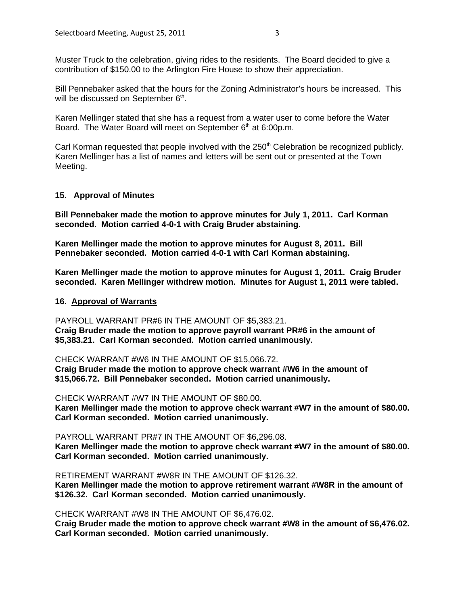Muster Truck to the celebration, giving rides to the residents. The Board decided to give a contribution of \$150.00 to the Arlington Fire House to show their appreciation.

Bill Pennebaker asked that the hours for the Zoning Administrator's hours be increased. This will be discussed on September 6<sup>th</sup>.

Karen Mellinger stated that she has a request from a water user to come before the Water Board. The Water Board will meet on September 6<sup>th</sup> at 6:00p.m.

Carl Korman requested that people involved with the 250<sup>th</sup> Celebration be recognized publicly. Karen Mellinger has a list of names and letters will be sent out or presented at the Town Meeting.

#### **15. Approval of Minutes**

**Bill Pennebaker made the motion to approve minutes for July 1, 2011. Carl Korman seconded. Motion carried 4-0-1 with Craig Bruder abstaining.**

**Karen Mellinger made the motion to approve minutes for August 8, 2011. Bill Pennebaker seconded. Motion carried 4-0-1 with Carl Korman abstaining.**

**Karen Mellinger made the motion to approve minutes for August 1, 2011. Craig Bruder seconded. Karen Mellinger withdrew motion. Minutes for August 1, 2011 were tabled.**

#### **16. Approval of Warrants**

PAYROLL WARRANT PR#6 IN THE AMOUNT OF \$5,383.21. **Craig Bruder made the motion to approve payroll warrant PR#6 in the amount of \$5,383.21. Carl Korman seconded. Motion carried unanimously.**

CHECK WARRANT #W6 IN THE AMOUNT OF \$15,066.72. **Craig Bruder made the motion to approve check warrant #W6 in the amount of \$15,066.72. Bill Pennebaker seconded. Motion carried unanimously.**

CHECK WARRANT #W7 IN THE AMOUNT OF \$80.00.

**Karen Mellinger made the motion to approve check warrant #W7 in the amount of \$80.00. Carl Korman seconded. Motion carried unanimously.**

PAYROLL WARRANT PR#7 IN THE AMOUNT OF \$6,296.08. **Karen Mellinger made the motion to approve check warrant #W7 in the amount of \$80.00. Carl Korman seconded. Motion carried unanimously.**

RETIREMENT WARRANT #W8R IN THE AMOUNT OF \$126.32.

**Karen Mellinger made the motion to approve retirement warrant #W8R in the amount of \$126.32. Carl Korman seconded. Motion carried unanimously.**

#### CHECK WARRANT #W8 IN THE AMOUNT OF \$6,476.02.

**Craig Bruder made the motion to approve check warrant #W8 in the amount of \$6,476.02. Carl Korman seconded. Motion carried unanimously.**